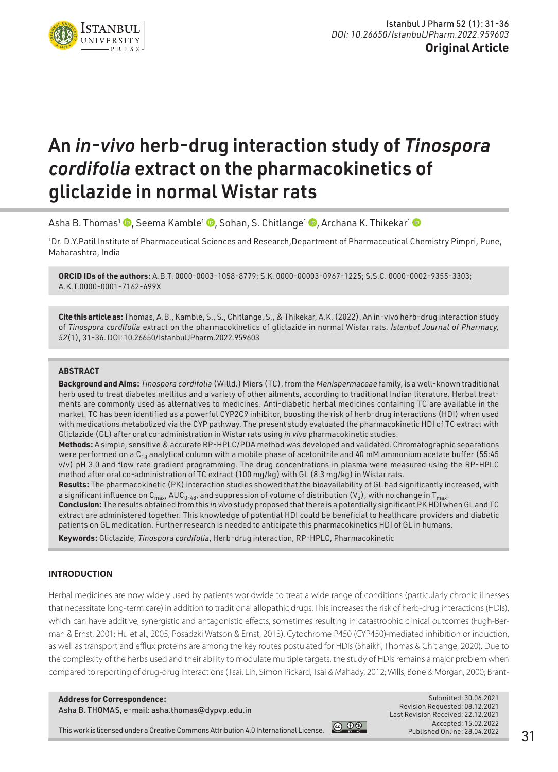

**Original Article**

# An *in-vivo* herb-drug interaction study of *Tinospora cordifolia* extract on the pharmacokinetics of gliclazide in normal Wistar rats

Asha B. Thomas<sup>1</sup> **D**, Seema Kamble<sup>1</sup> **D**, Sohan, S. Chitlange<sup>1</sup> **D**, Archana K. Thikekar<sup>1</sup> **D** 

1 Dr. D.Y.Patil Institute of Pharmaceutical Sciences and Research,Department of Pharmaceutical Chemistry Pimpri, Pune, Maharashtra, India

**ORCID IDs of the authors:** A.B.T. 0000-0003-1058-8779; S.K. 0000-00003-0967-1225; S.S.C. 0000-0002-9355-3303; A.K.T.0000-0001-7162-699X

**Cite this article as:** Thomas, A.B., Kamble, S., S., Chitlange, S., & Thikekar, A.K. (2022). An in-vivo herb-drug interaction study of *Tinospora cordifolia* extract on the pharmacokinetics of gliclazide in normal Wistar rats. *İstanbul Journal of Pharmacy, 52*(1), 31-36. DOI: 10.26650/IstanbulJPharm.2022.959603

#### **ABSTRACT**

**Background and Aims:** *Tinospora cordifolia* (Willd.) Miers (TC), from the *Menispermaceae* family, is a well-known traditional herb used to treat diabetes mellitus and a variety of other ailments, according to traditional Indian literature. Herbal treatments are commonly used as alternatives to medicines. Anti-diabetic herbal medicines containing TC are available in the market. TC has been identified as a powerful CYP2C9 inhibitor, boosting the risk of herb-drug interactions (HDI) when used with medications metabolized via the CYP pathway. The present study evaluated the pharmacokinetic HDI of TC extract with Gliclazide (GL) after oral co-administration in Wistar rats using *in vivo* pharmacokinetic studies.

**Methods:** A simple, sensitive & accurate RP-HPLC/PDA method was developed and validated. Chromatographic separations were performed on a  $C_{18}$  analytical column with a mobile phase of acetonitrile and 40 mM ammonium acetate buffer (55:45) v/v) pH 3.0 and flow rate gradient programming. The drug concentrations in plasma were measured using the RP-HPLC method after oral co-administration of TC extract (100 mg/kg) with GL (8.3 mg/kg) in Wistar rats.

**Results:** The pharmacokinetic (PK) interaction studies showed that the bioavailability of GL had significantly increased, with a significant influence on  $C_{max}$ , AUC<sub>0-48</sub>, and suppression of volume of distribution (V<sub>d</sub>), with no change in T<sub>max</sub>.

**Conclusion:** The results obtained from this *in vivo* study proposed that there is a potentially significant PK HDI when GL and TC extract are administered together. This knowledge of potential HDI could be beneficial to healthcare providers and diabetic patients on GL medication. Further research is needed to anticipate this pharmacokinetics HDI of GL in humans.

**Keywords:** Gliclazide, *Tinospora cordifolia*, Herb-drug interaction, RP-HPLC, Pharmacokinetic

#### **INTRODUCTION**

Herbal medicines are now widely used by patients worldwide to treat a wide range of conditions (particularly chronic illnesses that necessitate long-term care) in addition to traditional allopathic drugs. This increases the risk of herb-drug interactions (HDIs), which can have additive, synergistic and antagonistic effects, sometimes resulting in catastrophic clinical outcomes (Fugh-Berman & Ernst, 2001; Hu et al., 2005; Posadzki Watson & Ernst, 2013). Cytochrome P450 (CYP450)-mediated inhibition or induction, as well as transport and efflux proteins are among the key routes postulated for HDIs (Shaikh, Thomas & Chitlange, 2020). Due to the complexity of the herbs used and their ability to modulate multiple targets, the study of HDIs remains a major problem when compared to reporting of drug-drug interactions (Tsai, Lin, Simon Pickard, Tsai & Mahady, 2012; Wills, Bone & Morgan, 2000; Brant-

**Address for Correspondence:**  Asha B. THOMAS, e-mail: asha.thomas@dypvp.edu.in



Submitted: 30.06.2021 Revision Requested: 08.12.2021 Last Revision Received: 22.12.2021 Accepted: 15.02.2022 Published Online: 28.04.2022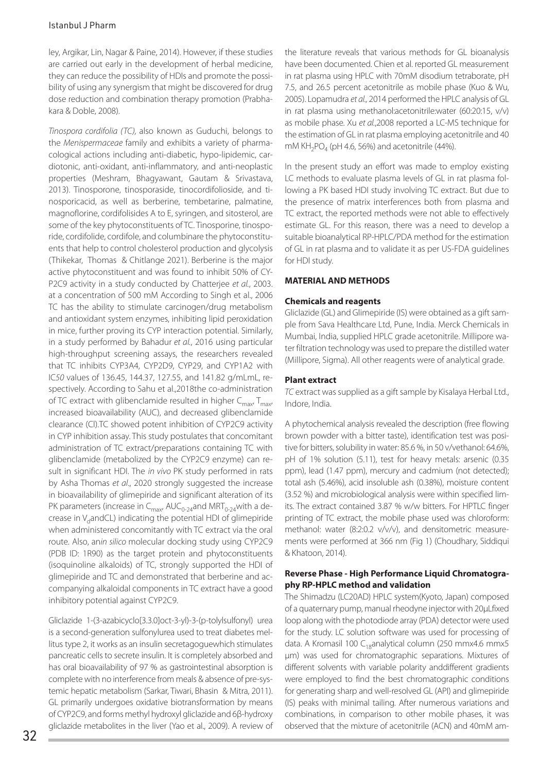#### Istanbul J Pharm

ley, Argikar, Lin, Nagar & Paine, 2014). However, if these studies are carried out early in the development of herbal medicine, they can reduce the possibility of HDIs and promote the possibility of using any synergism that might be discovered for drug dose reduction and combination therapy promotion (Prabhakara & Doble, 2008).

*Tinospora cordifolia (TC),* also known as Guduchi, belongs to the *Menispermaceae* family and exhibits a variety of pharmacological actions including anti-diabetic, hypo-lipidemic, cardiotonic, anti-oxidant, anti-inflammatory, and anti-neoplastic properties (Meshram, Bhagyawant, Gautam & Srivastava, 2013). Tinosporone, tinosporaside, tinocordifolioside, and tinosporicacid, as well as berberine, tembetarine, palmatine, magnoflorine, cordifolisides A to E, syringen, and sitosterol, are some of the key phytoconstituents of TC. Tinosporine, tinosporide, cordifolide, cordifole, and columbinare the phytoconstituents that help to control cholesterol production and glycolysis (Thikekar, Thomas & Chitlange 2021). Berberine is the major active phytoconstituent and was found to inhibit 50% of CY-P2C9 activity in a study conducted by Chatterjee *et al.*, 2003. at a concentration of 500 mM According to Singh et al., 2006 TC has the ability to stimulate carcinogen/drug metabolism and antioxidant system enzymes, inhibiting lipid peroxidation in mice, further proving its CYP interaction potential. Similarly, in a study performed by Bahadur *et al.*, 2016 using particular high-throughput screening assays, the researchers revealed that TC inhibits CYP3A4, CYP2D9, CYP29, and CYP1A2 with IC*50* values of 136.45, 144.37, 127.55, and 141.82 g/mLmL, respectively. According to Sahu et al.,2018the co-administration of TC extract with glibenclamide resulted in higher  $C_{\text{max}}$ ,  $T_{\text{max}}$ increased bioavailability (AUC), and decreased glibenclamide clearance (Cl).TC showed potent inhibition of CYP2C9 activity in CYP inhibition assay. This study postulates that concomitant administration of TC extract/preparations containing TC with glibenclamide (metabolized by the CYP2C9 enzyme) can result in significant HDI. The *in vivo* PK study performed in rats by Asha Thomas *et al*., 2020 strongly suggested the increase in bioavailability of glimepiride and significant alteration of its PK parameters (increase in  $C_{\text{max}}$ , AU $C_{0-24}$ and MRT $_{0-24}$ with a decrease in V<sub>d</sub>andCL) indicating the potential HDI of glimepiride when administered concomitantly with TC extract via the oral route. Also, an*in silico* molecular docking study using CYP2C9 (PDB ID: 1R90) as the target protein and phytoconstituents (isoquinoline alkaloids) of TC, strongly supported the HDI of glimepiride and TC and demonstrated that berberine and accompanying alkaloidal components in TC extract have a good inhibitory potential against CYP2C9.

Gliclazide 1-(3-azabicyclo[3.3.0]oct-3-yl)-3-(p-tolylsulfonyl) urea is a second-generation [sulfonylurea](https://en.wikipedia.org/wiki/Sulfonylurea) used to treat [diabetes mel](https://en.wikipedia.org/wiki/Diabetes_mellitus_type_2)[litus type 2](https://en.wikipedia.org/wiki/Diabetes_mellitus_type_2), it works as an insulin secretagoguewhich stimulates pancreatic cells to secrete insulin. It is completely absorbed and has oral bioavailability of 97 % as gastrointestinal absorption is complete with no interference from meals & absence of pre-systemic hepatic metabolism (Sarkar, Tiwari, Bhasin & Mitra, 2011). GL primarily undergoes oxidative biotransformation by means of CYP2C9, and forms methyl hydroxyl gliclazide and 6β-hydroxy gliclazide metabolites in the liver (Yao et al., 2009). A review of the literature reveals that various methods for GL bioanalysis have been documented. Chien et al. reported GL measurement in rat plasma using HPLC with 70mM disodium tetraborate, pH 7.5, and 26.5 percent acetonitrile as mobile phase (Kuo & Wu, 2005). Lopamudra *et al.,* 2014 performed the HPLC analysis of GL in rat plasma using methanol:acetonitrile:water (60:20:15, v/v) as mobile phase. Xu *et al.*,2008 reported a LC-MS technique for the estimation of GL in rat plasma employing acetonitrile and 40 mM  $KH<sub>2</sub>PO<sub>4</sub>$  (pH 4.6, 56%) and acetonitrile (44%).

In the present study an effort was made to employ existing LC methods to evaluate plasma levels of GL in rat plasma following a PK based HDI study involving TC extract. But due to the presence of matrix interferences both from plasma and TC extract, the reported methods were not able to effectively estimate GL. For this reason, there was a need to develop a suitable bioanalytical RP-HPLC/PDA method for the estimation of GL in rat plasma and to validate it as per US-FDA guidelines for HDI study.

## **MATERIAL AND METHODS**

#### **Chemicals and reagents**

Gliclazide (GL) and Glimepiride (IS) were obtained as a gift sample from Sava Healthcare Ltd, Pune, India. Merck Chemicals in Mumbai, India, supplied HPLC grade acetonitrile. Millipore water filtration technology was used to prepare the distilled water (Millipore, Sigma). All other reagents were of analytical grade.

## **Plant extract**

*TC* extract was supplied as a gift sample by Kisalaya Herbal Ltd., Indore, India.

A phytochemical analysis revealed the description (free flowing brown powder with a bitter taste), identification test was positive for bitters, solubility in water: 85.6 %, in 50 v/vethanol: 64.6%, pH of 1% solution (5.11), test for heavy metals: arsenic (0.35 ppm), lead (1.47 ppm), mercury and cadmium (not detected); total ash (5.46%), acid insoluble ash (0.38%), moisture content (3.52 %) and microbiological analysis were within specified limits. The extract contained 3.87 % w/w bitters. For HPTLC finger printing of TC extract, the mobile phase used was chloroform: methanol: water (8:2:0.2 v/v/v), and densitometric measurements were performed at 366 nm (Fig 1) (Choudhary, Siddiqui & Khatoon, 2014).

#### **Reverse Phase - High Performance Liquid Chromatography RP-HPLC method and validation**

The Shimadzu (LC20AD) HPLC system(Kyoto, Japan) composed of a quaternary pump, manual rheodyne injector with 20µLfixed loop along with the photodiode array (PDA) detector were used for the study. LC solution software was used for processing of data. A Kromasil 100 C<sub>18</sub>analytical column (250 mmx4.6 mmx5 µm) was used for chromatographic separations. Mixtures of different solvents with variable polarity anddifferent gradients were employed to find the best chromatographic conditions for generating sharp and well-resolved GL (API) and glimepiride (IS) peaks with minimal tailing. After numerous variations and combinations, in comparison to other mobile phases, it was observed that the mixture of acetonitrile (ACN) and 40mM am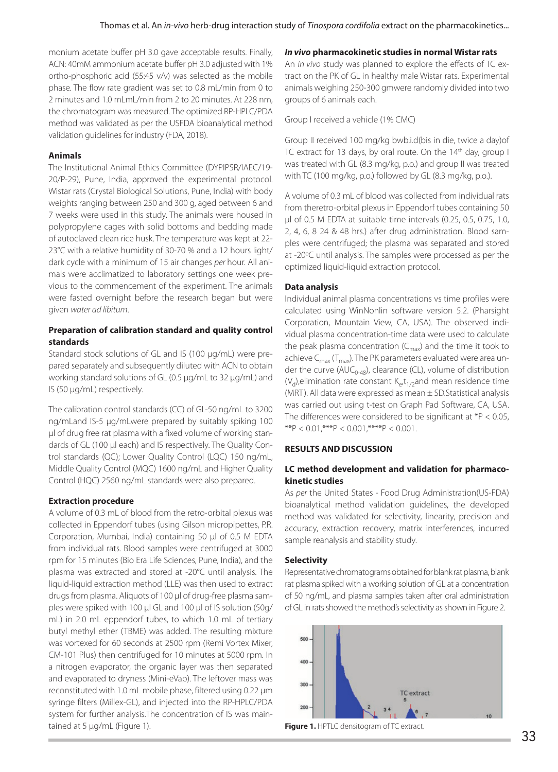monium acetate buffer pH 3.0 gave acceptable results. Finally, ACN: 40mM ammonium acetate buffer pH 3.0 adjusted with 1% ortho-phosphoric acid (55:45 v/v) was selected as the mobile phase. The flow rate gradient was set to 0.8 mL/min from 0 to 2 minutes and 1.0 mLmL/min from 2 to 20 minutes. At 228 nm, the chromatogram was measured. The optimized RP-HPLC/PDA method was validated as per the USFDA bioanalytical method validation guidelines for industry (FDA, 2018).

#### **Animals**

The Institutional Animal Ethics Committee (DYPIPSR/IAEC/19- 20/P-29), Pune, India, approved the experimental protocol. Wistar rats (Crystal Biological Solutions, Pune, India) with body weights ranging between 250 and 300 g, aged between 6 and 7 weeks were used in this study. The animals were housed in polypropylene cages with solid bottoms and bedding made of autoclaved clean rice husk. The temperature was kept at 22- 23°C with a relative humidity of 30-70 % and a 12 hours light/ dark cycle with a minimum of 15 air changes *per* hour. All animals were acclimatized to laboratory settings one week previous to the commencement of the experiment. The animals were fasted overnight before the research began but were given *water ad libitum*.

#### **Preparation of calibration standard and quality control standards**

Standard stock solutions of GL and IS (100 µg/mL) were prepared separately and subsequently diluted with ACN to obtain working standard solutions of GL (0.5 µg/mL to 32 µg/mL) and IS (50 µg/mL) respectively.

The calibration control standards (CC) of GL-50 ng/mL to 3200 ng/mLand IS-5 µg/mLwere prepared by suitably spiking 100 µl of drug free rat plasma with a fixed volume of working standards of GL (100 µl each) and IS respectively. The Quality Control standards (QC); Lower Quality Control (LQC) 150 ng/mL, Middle Quality Control (MQC) 1600 ng/mL and Higher Quality Control (HQC) 2560 ng/mL standards were also prepared.

#### **Extraction procedure**

A volume of 0.3 mL of blood from the retro-orbital plexus was collected in Eppendorf tubes (using Gilson micropipettes, P.R. Corporation, Mumbai, India) containing 50 µl of 0.5 M EDTA from individual rats. Blood samples were centrifuged at 3000 rpm for 15 minutes (Bio Era Life Sciences, Pune, India), and the plasma was extracted and stored at -20°C until analysis. The liquid-liquid extraction method (LLE) was then used to extract drugs from plasma. Aliquots of 100 µl of drug-free plasma samples were spiked with 100 µl GL and 100 µl of IS solution (50g/ mL) in 2.0 mL eppendorf tubes, to which 1.0 mL of tertiary butyl methyl ether (TBME) was added. The resulting mixture was vortexed for 60 seconds at 2500 rpm (Remi Vortex Mixer, CM-101 Plus) then centrifuged for 10 minutes at 5000 rpm. In a nitrogen evaporator, the organic layer was then separated and evaporated to dryness (Mini-eVap). The leftover mass was reconstituted with 1.0 mL mobile phase, filtered using 0.22 µm syringe filters (Millex-GL), and injected into the RP-HPLC/PDA system for further analysis.The concentration of IS was maintained at 5 μg/mL (Figure 1).

#### *In vivo* **pharmacokinetic studies in normal Wistar rats**

An *in vivo* study was planned to explore the effects of TC extract on the PK of GL in healthy male Wistar rats. Experimental animals weighing 250-300 gmwere randomly divided into two groups of 6 animals each.

Group I received a vehicle (1% CMC)

Group II received 100 mg/kg bwb.i.d(bis in die, twice a day)of TC extract for 13 days, by oral route. On the 14<sup>th</sup> day, group I was treated with GL (8.3 mg/kg, p.o.) and group II was treated with TC (100 mg/kg, p.o.) followed by GL (8.3 mg/kg, p.o.).

A volume of 0.3 mL of blood was collected from individual rats from theretro-orbital plexus in Eppendorf tubes containing 50 µl of 0.5 M EDTA at suitable time intervals (0.25, 0.5, 0.75, 1.0, 2, 4, 6, 8 24 & 48 hrs.) after drug administration. Blood samples were centrifuged; the plasma was separated and stored at -20ºC until analysis. The samples were processed as per the optimized liquid-liquid extraction protocol.

#### **Data analysis**

Individual animal plasma concentrations vs time profiles were calculated using WinNonlin software version 5.2. (Pharsight Corporation, Mountain View, CA, USA). The observed individual plasma concentration-time data were used to calculate the peak plasma concentration  $(C_{\text{max}})$  and the time it took to achieve  $C_{\text{max}}$  (T<sub>max</sub>). The PK parameters evaluated were area under the curve (AUC<sub>0-48</sub>), clearance (CL), volume of distribution ( $V_d$ ), elimination rate constant  $K_{e}t_{1/2}$ and mean residence time (MRT). All data were expressed as mean ± SD.Statistical analysis was carried out using t-test on Graph Pad Software, CA, USA. The differences were considered to be significant at  $*P < 0.05$ , \*\*P <  $0.01$ , \*\*\*P <  $0.001$ , \*\*\*\*P <  $0.001$ .

#### **RESULTS AND DISCUSSION**

#### **LC method development and validation for pharmacokinetic studies**

As *per* the United States - Food Drug Administration(US-FDA) bioanalytical method validation guidelines, the developed method was validated for selectivity, linearity, precision and accuracy, extraction recovery, matrix interferences, incurred sample reanalysis and stability study.

#### **Selectivity**

Representative chromatograms obtained for blank rat plasma, blank rat plasma spiked with a working solution of GL at a concentration of 50 ng/mL, and plasma samples taken after oral administration of GL in rats showed the method's selectivity as shown in Figure 2.



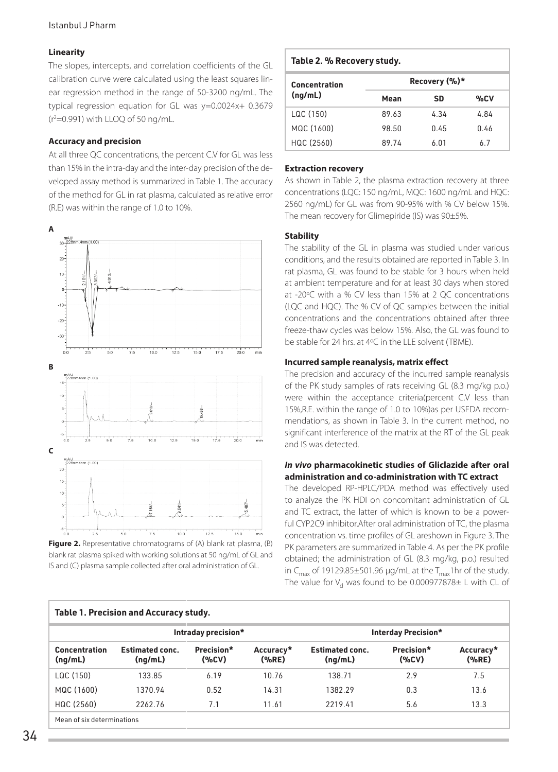#### Istanbul J Pharm

#### **Linearity**

The slopes, intercepts, and correlation coefficients of the GL calibration curve were calculated using the least squares linear regression method in the range of 50-3200 ng/mL. The typical regression equation for GL was y=0.0024x+ 0.3679 (r2 =0.991) with LLOQ of 50 ng/mL.

#### **Accuracy and precision**

At all three QC concentrations, the percent C.V for GL was less than 15% in the intra-day and the inter-day precision of the developed assay method is summarized in Table 1. The accuracy of the method for GL in rat plasma, calculated as relative error (R.E) was within the range of 1.0 to 10%.





#### **Table 2. % Recovery study.**

| Concentration | Recovery (%)* |      |      |  |  |  |
|---------------|---------------|------|------|--|--|--|
| (nq/mL)       | Mean          | SD   | %CV  |  |  |  |
| LQC (150)     | 89.63         | 4.34 | 4.84 |  |  |  |
| MQC (1600)    | 98.50         | 0.45 | 0.46 |  |  |  |
| HQC (2560)    | 89.74         | 6.01 | 6.7  |  |  |  |

#### **Extraction recovery**

As shown in Table 2, the plasma extraction recovery at three concentrations (LQC: 150 ng/mL, MQC: 1600 ng/mL and HQC: 2560 ng/mL) for GL was from 90-95% with % CV below 15%. The mean recovery for Glimepiride (IS) was 90±5%.

#### **Stability**

The stability of the GL in plasma was studied under various conditions, and the results obtained are reported in Table 3. In rat plasma, GL was found to be stable for 3 hours when held at ambient temperature and for at least 30 days when stored at -20°C with a % CV less than 15% at 2 QC concentrations (LQC and HQC). The % CV of QC samples between the initial concentrations and the concentrations obtained after three freeze-thaw cycles was below 15%. Also, the GL was found to be stable for 24 hrs. at 4ºC in the LLE solvent (TBME).

#### **Incurred sample reanalysis, matrix effect**

The precision and accuracy of the incurred sample reanalysis of the PK study samples of rats receiving GL (8.3 mg/kg p.o.) were within the acceptance criteria(percent C.V less than 15%,R.E. within the range of 1.0 to 10%)as per USFDA recommendations, as shown in Table 3. In the current method, no significant interference of the matrix at the RT of the GL peak and IS was detected.

#### *In vivo* **pharmacokinetic studies of Gliclazide after oral administration and co-administration with TC extract**

The developed RP-HPLC/PDA method was effectively used to analyze the PK HDI on concomitant administration of GL and TC extract, the latter of which is known to be a powerful CYP2C9 inhibitor.After oral administration of TC, the plasma concentration vs. time profiles of GL areshown in Figure 3. The PK parameters are summarized in Table 4. As per the PK profile obtained; the administration of GL (8.3 mg/kg, p.o.) resulted in C<sub>max</sub> of 19129.85 $\pm$ 501.96 µg/mL at the T<sub>max</sub>1hr of the study. The value for  $V_d$  was found to be 0.000977878 $\pm$  L with CL of

| <b>Table 1. Precision and Accuracy study.</b> |                                   |                     |                    |                                   |                     |                    |  |
|-----------------------------------------------|-----------------------------------|---------------------|--------------------|-----------------------------------|---------------------|--------------------|--|
|                                               | Intraday precision*               |                     |                    | Interday Precision*               |                     |                    |  |
| <b>Concentration</b><br>(nq/mL)               | <b>Estimated conc.</b><br>(nq/mL) | Precision*<br>(%CV) | Accuracy*<br>(%RE) | <b>Estimated conc.</b><br>(nq/mL) | Precision*<br>(%CV) | Accuracy*<br>(%RE) |  |
| LQC (150)                                     | 133.85                            | 6.19                | 10.76              | 138.71                            | 2.9                 | 7.5                |  |
| MQC (1600)                                    | 1370.94                           | 0.52                | 14.31              | 1382.29                           | 0.3                 | 13.6               |  |
| HQC (2560)                                    | 2262.76                           | 7.1                 | 11.61              | 2219.41                           | 5.6                 | 13.3               |  |
| Mean of six determinations                    |                                   |                     |                    |                                   |                     |                    |  |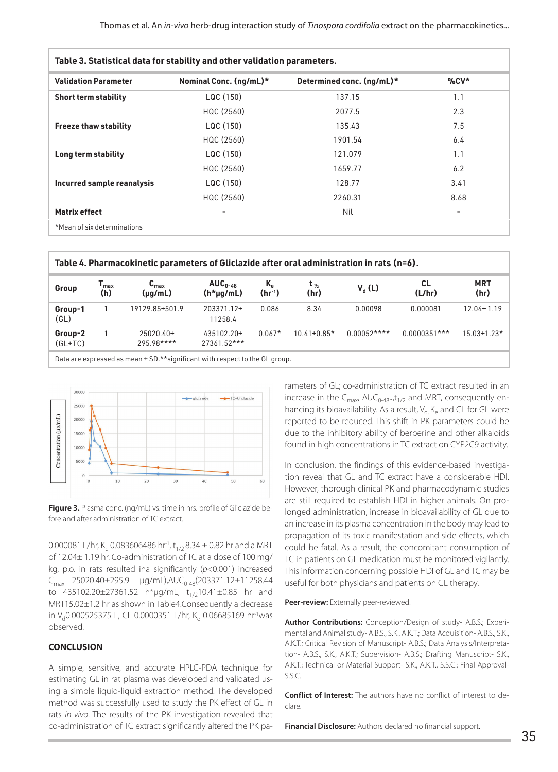| Table 3. Statistical data for stability and other validation parameters. |                        |                           |          |  |  |  |
|--------------------------------------------------------------------------|------------------------|---------------------------|----------|--|--|--|
| <b>Validation Parameter</b>                                              | Nominal Conc. (ng/mL)* | Determined conc. (ng/mL)* | $\%$ CV* |  |  |  |
| <b>Short term stability</b>                                              | LQC (150)              | 137.15                    | 1.1      |  |  |  |
|                                                                          | HQC (2560)             | 2077.5                    | 2.3      |  |  |  |
| <b>Freeze thaw stability</b>                                             | LQC (150)              | 135.43                    | 7.5      |  |  |  |
|                                                                          | HQC (2560)             | 1901.54                   | 6.4      |  |  |  |
| Long term stability                                                      | LQC (150)              | 121.079                   | 1.1      |  |  |  |
|                                                                          | HQC (2560)             | 1659.77                   | 6.2      |  |  |  |
| Incurred sample reanalysis                                               | LQC (150)              | 128.77                    | 3.41     |  |  |  |
|                                                                          | HQC (2560)             | 2260.31                   | 8.68     |  |  |  |
| <b>Matrix effect</b>                                                     | ۰                      | Nil                       | ۰        |  |  |  |
| *Mean of six determinations                                              |                        |                           |          |  |  |  |

| Table 4. Pharmacokinetic parameters of Gliclazide after oral administration in rats (n=6). |                                    |                                           |                             |                                               |                           |              |                |                    |
|--------------------------------------------------------------------------------------------|------------------------------------|-------------------------------------------|-----------------------------|-----------------------------------------------|---------------------------|--------------|----------------|--------------------|
| Group                                                                                      | $\mathsf{T}_{\mathsf{max}}$<br>(h) | $\mathbf{C}_{\text{max}}$<br>$(\mu q/mL)$ | $AUC_{0-48}$<br>$(h*uq/mL)$ | $K_{\scriptscriptstyle{\rho}}$<br>$(hr^{-1})$ | $t_{\frac{1}{2}}$<br>(hr) | $V_{d}$ (L)  | CL.<br>(L/hr)  | <b>MRT</b><br>(hr) |
| Group-1<br>(GL)                                                                            |                                    | 19129.85±501.9                            | 203371.12±<br>11258.4       | 0.086                                         | 8.34                      | 0.00098      | 0.000081       | $12.04 \pm 1.19$   |
| Group-2<br>$(GL+TC)$                                                                       |                                    | $25020.40 \pm$<br>295.98****              | 435102.20+<br>$2736152***$  | $0.067*$                                      | $10.41 \pm 0.85*$         | $0.00052***$ | $0.0000351***$ | $15.03 \pm 1.23$ * |
| Data are expressed as mean $\pm$ SD.**significant with respect to the GL group.            |                                    |                                           |                             |                                               |                           |              |                |                    |



**Figure 3.** Plasma conc. (ng/mL) vs. time in hrs. profile of Gliclazide before and after administration of TC extract.

0.000081 L/hr, K<sub>e</sub> 0.083606486 hr<sup>1</sup>, t<sub>1/2</sub> 8.34  $\pm$  0.82 hr and a MRT of 12.04± 1.19 hr. Co-administration of TC at a dose of 100 mg/ kg, p.o. in rats resulted ina significantly (*p*<0.001) increased  $C_{\text{max}}$  25020.40±295.9 µg/mL),AU $C_{0.48}$ (203371.12±11258.44 to 435102.20±27361.52 h\*µg/mL,  $t_{1/2}$ 10.41±0.85 hr and MRT15.02±1.2 hr as shown in Table4.Consequently a decrease in V<sub>d</sub>0.000525375 L, CL 0.0000351 L/hr, K<sub>e</sub> 0.06685169 hr<sup>1</sup>was observed.

## **CONCLUSION**

A simple, sensitive, and accurate HPLC-PDA technique for estimating GL in rat plasma was developed and validated using a simple liquid-liquid extraction method. The developed method was successfully used to study the PK effect of GL in rats *in vivo*. The results of the PK investigation revealed that co-administration of TC extract significantly altered the PK parameters of GL; co-administration of TC extract resulted in an increase in the  $C_{\text{max}}$ , AU $C_{0.48h}$ , $t_{1/2}$  and MRT, consequently enhancing its bioavailability. As a result,  $V_d$  K<sub>e</sub> and CL for GL were reported to be reduced. This shift in PK parameters could be due to the inhibitory ability of berberine and other alkaloids found in high concentrations in TC extract on CYP2C9 activity.

In conclusion, the findings of this evidence-based investigation reveal that GL and TC extract have a considerable HDI. However, thorough clinical PK and pharmacodynamic studies are still required to establish HDI in higher animals. On prolonged administration, increase in bioavailability of GL due to an increase in its plasma concentration in the body may lead to propagation of its toxic manifestation and side effects, which could be fatal. As a result, the concomitant consumption of TC in patients on GL medication must be monitored vigilantly. This information concerning possible HDI of GL and TC may be useful for both physicians and patients on GL therapy.

#### Peer-review: Externally peer-reviewed.

**Author Contributions:** Conception/Design of study- A.B.S.; Experimental and Animal study- A.B.S., S.K., A.K.T.; Data Acquisition- A.B.S., S.K., A.K.T.; Critical Revision of Manuscript- A.B.S.; Data Analysis/Interpretation- A.B.S., S.K., A.K.T.; Supervision- A.B.S.; Drafting Manuscript- S.K., A.K.T.; Technical or Material Support- S.K., A.K.T., S.S.C.; Final Approval-S.S.C.

**Conflict of Interest:** The authors have no conflict of interest to declare.

**Financial Disclosure:** Authors declared no financial support.